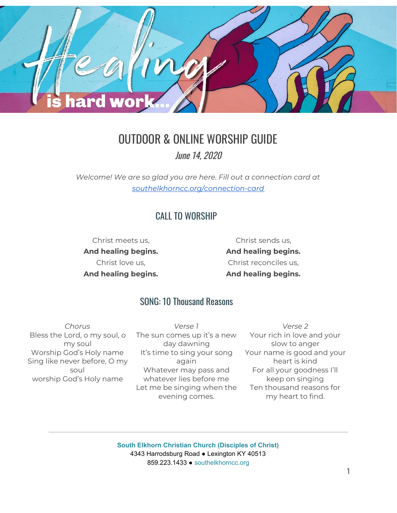

# OUTDOOR & ONLINE WORSHIP GUIDE

June 14, 2020

*Welcome! We are so glad you are here. Fill out a connection card at [southelkhorncc.org/connection-card](https://www.southelkhorncc.org/connection-card)*

## CALL TO WORSHIP

Christ meets us, **And healing begins.** Christ love us, **And healing begins.**

Christ sends us, **And healing begins.** Christ reconciles us, **And healing begins.**

### SONG: 10 Thousand Reasons

*Chorus* Bless the Lord, o my soul, o my soul Worship God's Holy name Sing like never before, O my soul worship God's Holy name

*Verse 1* The sun comes up it's a new day dawning It's time to sing your song again Whatever may pass and whatever lies before me Let me be singing when the evening comes.

*Verse 2* Your rich in love and your slow to anger Your name is good and your heart is kind For all your goodness I'll keep on singing Ten thousand reasons for my heart to find.

**South Elkhorn Christian Church (Disciples of Christ)** 4343 Harrodsburg Road ● Lexington KY 40513 859.223.1433 ● [southelkhorncc.org](http://www.southelkhorncc.org/)